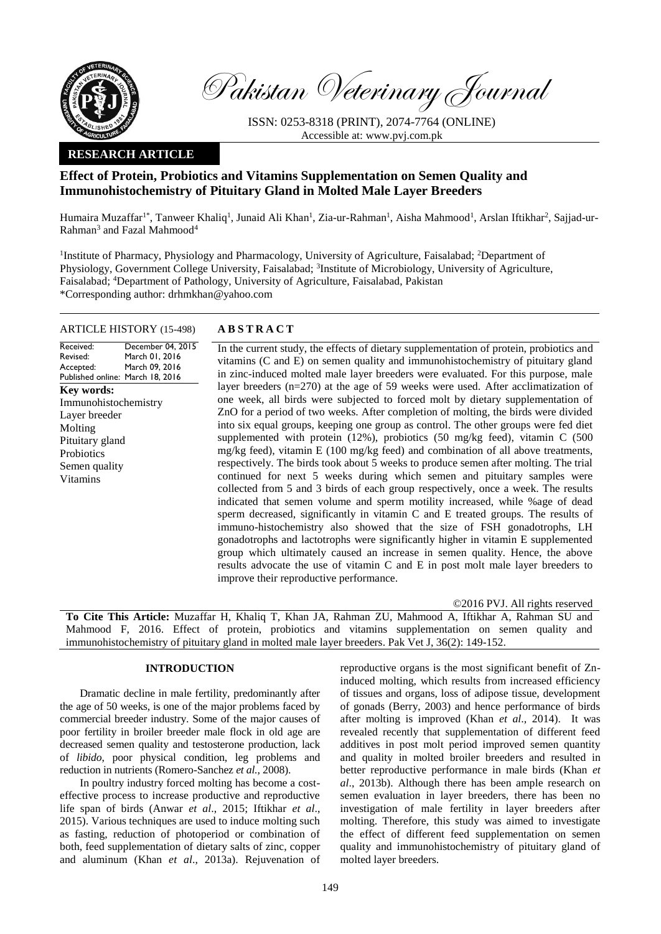

Pakistan Veterinary Journal

ISSN: 0253-8318 (PRINT), 2074-7764 (ONLINE) Accessible at: [www.pvj.com.pk](http://www.pvj.com.pk/)

## **RESEARCH ARTICLE**

# **Effect of Protein, Probiotics and Vitamins Supplementation on Semen Quality and Immunohistochemistry of Pituitary Gland in Molted Male Layer Breeders**

Humaira Muzaffar<sup>1\*</sup>, Tanweer Khaliq<sup>1</sup>, Junaid Ali Khan<sup>1</sup>, Zia-ur-Rahman<sup>1</sup>, Aisha Mahmood<sup>1</sup>, Arslan Iftikhar<sup>2</sup>, Sajjad-ur-Rahman<sup>3</sup> and Fazal Mahmood<sup>4</sup>

<sup>1</sup>Institute of Pharmacy, Physiology and Pharmacology, University of Agriculture, Faisalabad; <sup>2</sup>Department of Physiology, Government College University, Faisalabad; <sup>3</sup>Institute of Microbiology, University of Agriculture, Faisalabad; <sup>4</sup>Department of Pathology, University of Agriculture, Faisalabad, Pakistan \*Corresponding author: drhmkhan@yahoo.com

## ARTICLE HISTORY (15-498) **A B S T R A C T**

Received: Revised: Accepted: Published online: March 18, 2016 December 04, 2015 March 01, 2016 March 09, 2016 **Key words:**  Immunohistochemistry Layer breeder Molting Pituitary gland Probiotics Semen quality Vitamins

In the current study, the effects of dietary supplementation of protein, probiotics and vitamins (C and E) on semen quality and immunohistochemistry of pituitary gland in zinc-induced molted male layer breeders were evaluated. For this purpose, male layer breeders (n=270) at the age of 59 weeks were used. After acclimatization of one week, all birds were subjected to forced molt by dietary supplementation of ZnO for a period of two weeks. After completion of molting, the birds were divided into six equal groups, keeping one group as control. The other groups were fed diet supplemented with protein (12%), probiotics (50 mg/kg feed), vitamin C (500 mg/kg feed), vitamin E (100 mg/kg feed) and combination of all above treatments, respectively. The birds took about 5 weeks to produce semen after molting. The trial continued for next 5 weeks during which semen and pituitary samples were collected from 5 and 3 birds of each group respectively, once a week. The results indicated that semen volume and sperm motility increased, while %age of dead sperm decreased, significantly in vitamin C and E treated groups. The results of immuno-histochemistry also showed that the size of FSH gonadotrophs, LH gonadotrophs and lactotrophs were significantly higher in vitamin E supplemented group which ultimately caused an increase in semen quality. Hence, the above results advocate the use of vitamin C and E in post molt male layer breeders to improve their reproductive performance.

©2016 PVJ. All rights reserved **To Cite This Article:** Muzaffar H, Khaliq T, Khan JA, Rahman ZU, Mahmood A, Iftikhar A, Rahman SU and Mahmood F, 2016. Effect of protein, probiotics and vitamins supplementation on semen quality and immunohistochemistry of pituitary gland in molted male layer breeders. Pak Vet J, 36(2): 149-152.

## **INTRODUCTION**

Dramatic decline in male fertility, predominantly after the age of 50 weeks, is one of the major problems faced by commercial breeder industry. Some of the major causes of poor fertility in broiler breeder male flock in old age are decreased semen quality and testosterone production, lack of *libido*, poor physical condition, leg problems and reduction in nutrients (Romero-Sanchez *et al.*, 2008).

In poultry industry forced molting has become a costeffective process to increase productive and reproductive life span of birds (Anwar *et al*., 2015; Iftikhar *et al*., 2015). Various techniques are used to induce molting such as fasting, reduction of photoperiod or combination of both, feed supplementation of dietary salts of zinc, copper and aluminum (Khan *et al*., 2013a). Rejuvenation of

reproductive organs is the most significant benefit of Zninduced molting, which results from increased efficiency of tissues and organs, loss of adipose tissue, development of gonads (Berry, 2003) and hence performance of birds after molting is improved (Khan *et al*., 2014). It was revealed recently that supplementation of different feed additives in post molt period improved semen quantity and quality in molted broiler breeders and resulted in better reproductive performance in male birds (Khan *et al*., 2013b). Although there has been ample research on semen evaluation in layer breeders, there has been no investigation of male fertility in layer breeders after molting. Therefore, this study was aimed to investigate the effect of different feed supplementation on semen quality and immunohistochemistry of pituitary gland of molted layer breeders.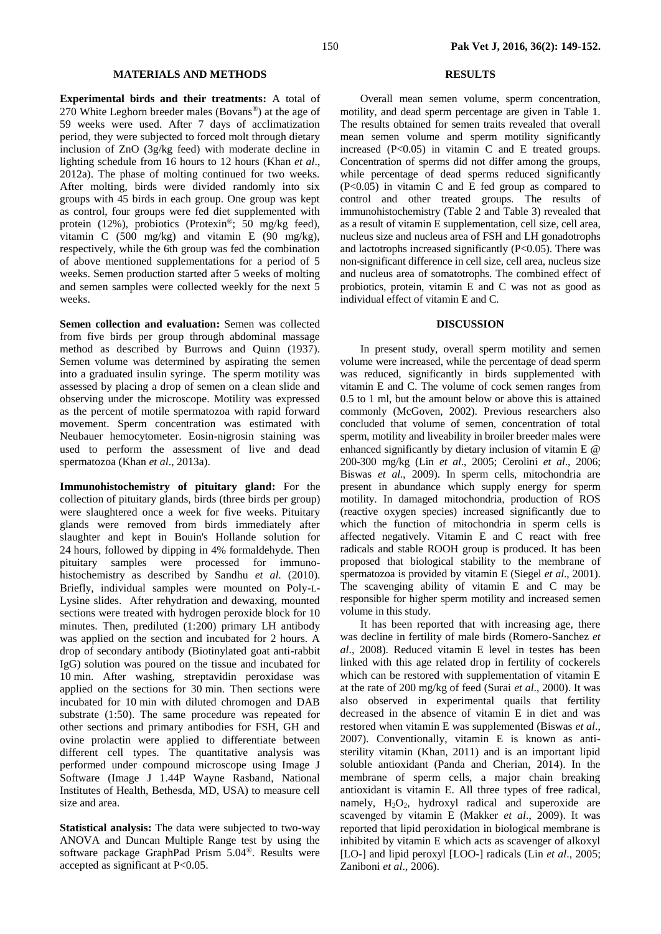## **MATERIALS AND METHODS**

**Experimental birds and their treatments:** A total of 270 White Leghorn breeder males (Bovans®) at the age of 59 weeks were used. After 7 days of acclimatization period, they were subjected to forced molt through dietary inclusion of ZnO (3g/kg feed) with moderate decline in lighting schedule from 16 hours to 12 hours (Khan *et al*., 2012a). The phase of molting continued for two weeks. After molting, birds were divided randomly into six groups with 45 birds in each group. One group was kept as control, four groups were fed diet supplemented with protein (12%), probiotics (Protexin®; 50 mg/kg feed), vitamin C (500 mg/kg) and vitamin E (90 mg/kg), respectively, while the 6th group was fed the combination of above mentioned supplementations for a period of 5 weeks. Semen production started after 5 weeks of molting and semen samples were collected weekly for the next 5 weeks.

**Semen collection and evaluation:** Semen was collected from five birds per group through abdominal massage method as described by Burrows and Quinn (1937). Semen volume was determined by aspirating the semen into a graduated insulin syringe. The sperm motility was assessed by placing a drop of semen on a clean slide and observing under the microscope. Motility was expressed as the percent of motile spermatozoa with rapid forward movement. Sperm concentration was estimated with Neubauer hemocytometer. Eosin-nigrosin staining was used to perform the assessment of live and dead spermatozoa (Khan *et al*., 2013a).

**Immunohistochemistry of pituitary gland:** For the collection of pituitary glands, birds (three birds per group) were slaughtered once a week for five weeks. Pituitary glands were removed from birds immediately after slaughter and kept in Bouin's Hollande solution for 24 hours, followed by dipping in 4% formaldehyde. Then pituitary samples were processed for immunohistochemistry as described by Sandhu *et al*. (2010). Briefly, individual samples were mounted on Poly-L-Lysine slides. After rehydration and dewaxing, mounted sections were treated with hydrogen peroxide block for 10 minutes. Then, prediluted (1:200) primary LH antibody was applied on the section and incubated for 2 hours. A drop of secondary antibody (Biotinylated goat anti-rabbit IgG) solution was poured on the tissue and incubated for 10 min. After washing, streptavidin peroxidase was applied on the sections for 30 min. Then sections were incubated for 10 min with diluted chromogen and DAB substrate (1:50). The same procedure was repeated for other sections and primary antibodies for FSH, GH and ovine prolactin were applied to differentiate between different cell types. The quantitative analysis was performed under compound microscope using Image J Software (Image J 1.44P Wayne Rasband, National Institutes of Health, Bethesda, MD, USA) to measure cell size and area.

**Statistical analysis:** The data were subjected to two-way ANOVA and Duncan Multiple Range test by using the software package GraphPad Prism 5.04®. Results were accepted as significant at P<0.05.

## **RESULTS**

Overall mean semen volume, sperm concentration, motility, and dead sperm percentage are given in Table 1. The results obtained for semen traits revealed that overall mean semen volume and sperm motility significantly increased (P<0.05) in vitamin C and E treated groups. Concentration of sperms did not differ among the groups, while percentage of dead sperms reduced significantly (P<0.05) in vitamin C and E fed group as compared to control and other treated groups. The results of immunohistochemistry (Table 2 and Table 3) revealed that as a result of vitamin E supplementation, cell size, cell area, nucleus size and nucleus area of FSH and LH gonadotrophs and lactotrophs increased significantly (P<0.05). There was non-significant difference in cell size, cell area, nucleus size and nucleus area of somatotrophs. The combined effect of probiotics, protein, vitamin E and C was not as good as individual effect of vitamin E and C.

## **DISCUSSION**

In present study, overall sperm motility and semen volume were increased, while the percentage of dead sperm was reduced, significantly in birds supplemented with vitamin E and C. The volume of cock semen ranges from 0.5 to 1 ml, but the amount below or above this is attained commonly (McGoven, 2002). Previous researchers also concluded that volume of semen, concentration of total sperm, motility and liveability in broiler breeder males were enhanced significantly by dietary inclusion of vitamin E @ 200-300 mg/kg (Lin *et al*., 2005; Cerolini *et al*., 2006; Biswas *et al*., 2009). In sperm cells, mitochondria are present in abundance which supply energy for sperm motility. In damaged mitochondria, production of ROS (reactive oxygen species) increased significantly due to which the function of mitochondria in sperm cells is affected negatively. Vitamin E and C react with free radicals and stable ROOH group is produced. It has been proposed that biological stability to the membrane of spermatozoa is provided by vitamin E (Siegel *et al*., 2001). The scavenging ability of vitamin E and C may be responsible for higher sperm motility and increased semen volume in this study.

It has been reported that with increasing age, there was decline in fertility of male birds (Romero-Sanchez *et al*., 2008). Reduced vitamin E level in testes has been linked with this age related drop in fertility of cockerels which can be restored with supplementation of vitamin E at the rate of 200 mg/kg of feed (Surai *et al*., 2000). It was also observed in experimental quails that fertility decreased in the absence of vitamin E in diet and was restored when vitamin E was supplemented (Biswas *et al*., 2007). Conventionally, vitamin E is known as antisterility vitamin (Khan, 2011) and is an important lipid soluble antioxidant (Panda and Cherian, 2014). In the membrane of sperm cells, a major chain breaking antioxidant is vitamin E. All three types of free radical, namely,  $H_2O_2$ , hydroxyl radical and superoxide are scavenged by vitamin E (Makker *et al*., 2009). It was reported that lipid peroxidation in biological membrane is inhibited by vitamin E which acts as scavenger of alkoxyl [LO-] and lipid peroxyl [LOO-] radicals (Lin *et al*., 2005; Zaniboni *et al*., 2006).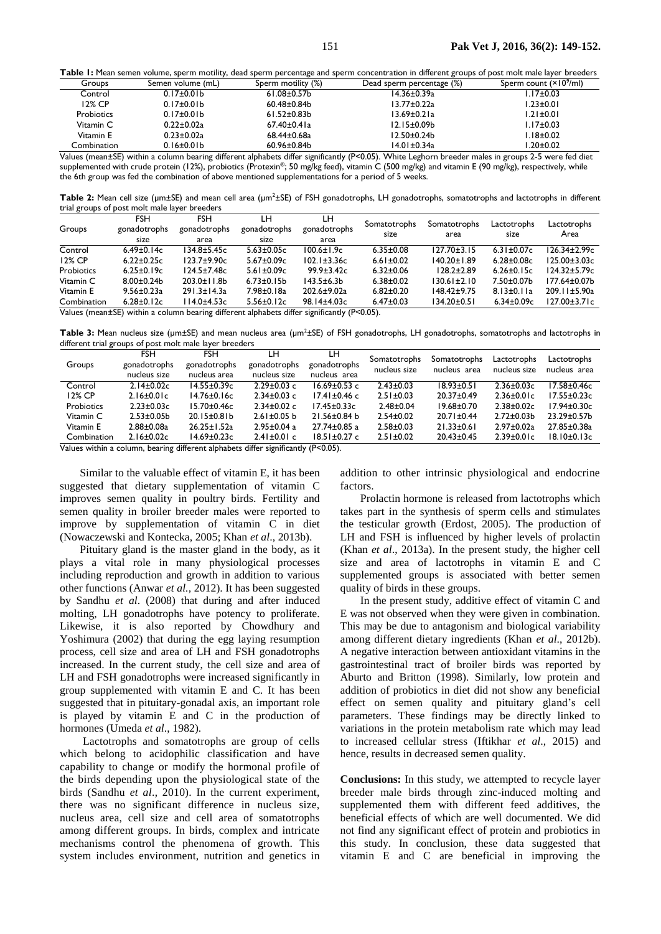Table 1: Mean semen volume, sperm motility, dead sperm percentage and sperm concentration in different groups of post molt male layer breeders

| Groups      | Semen volume (mL) | Sperm motility (%) | Dead sperm percentage (%) | Sperm count (×10 <sup>9</sup> /ml) |
|-------------|-------------------|--------------------|---------------------------|------------------------------------|
| Control     | $0.17 \pm 0.01 b$ | $61.08 \pm 0.57$ b | 14.36±0.39a               | $1.17 \pm 0.03$                    |
| 12% CP      | $0.17 \pm 0.01 b$ | $60.48 \pm 0.84$   | 13.77±0.22a               | $1.23 \pm 0.01$                    |
| Probiotics  | $0.17 \pm 0.01 b$ | $61.52 \pm 0.83 b$ | $13.69 \pm 0.21a$         | $1.21 \pm 0.01$                    |
| Vitamin C   | $0.22 \pm 0.02a$  | $67.40 \pm 0.41a$  | 12.15±0.09b               | $1.17 \pm 0.03$                    |
| Vitamin E   | $0.23 \pm 0.02a$  | $68.44 \pm 0.68$ a | 12.50±0.24b               | l.18±0.02                          |
| Combination | $0.16 \pm 0.01 b$ | $60.96 \pm 0.84$   | 14.01±0.34a               | l.20±0.02                          |

Values (mean±SE) within a column bearing different alphabets differ significantly (P<0.05). White Leghorn breeder males in groups 2-5 were fed diet supplemented with crude protein (12%), probiotics (Protexin®; 50 mg/kg feed), vitamin C (500 mg/kg) and vitamin E (90 mg/kg), respectively, while the 6th group was fed the combination of above mentioned supplementations for a period of 5 weeks.

Table 2: Mean cell size (µm±SE) and mean cell area (µm<sup>2</sup>±SE) of FSH gonadotrophs, LH gonadotrophs, somatotrophs and lactotrophs in different trial groups of post molt male layer breeders

| Groups                                                                                     | <b>FSH</b><br>gonadotrophs<br>size | FSH<br>gonadotrophs<br>area | LН<br>gonadotrophs<br>size | LH<br>gonadotrophs<br>area | Somatotrophs<br>size | Somatotrophs<br>area | Lactotrophs<br>size | Lactotrophs<br>Area |
|--------------------------------------------------------------------------------------------|------------------------------------|-----------------------------|----------------------------|----------------------------|----------------------|----------------------|---------------------|---------------------|
| Control                                                                                    | $6.49 \pm 0.14c$                   | $134.8 + 5.45c$             | $5.63 \pm 0.05c$           | $100.6 \pm 1.9c$           | $6.35 \pm 0.08$      | $127.70 \pm 3.15$    | $6.31 \pm 0.07c$    | $126.34 \pm 2.99c$  |
| 12% CP                                                                                     | $6.22 \pm 0.25c$                   | $123.7 + 9.90c$             | $5.67 \pm 0.09c$           | $102.1 \pm 3.36c$          | $6.61 \pm 0.02$      | $140.20 \pm 1.89$    | $6.28 \pm 0.08c$    | $125.00 \pm 3.03c$  |
| Probiotics                                                                                 | $6.25 \pm 0.19c$                   | $124.5 \pm 7.48c$           | $5.61 \pm 0.09c$           | $99.9 \pm 3.42c$           | $6.32 \pm 0.06$      | $128.2 \pm 2.89$     | $6.26 \pm 0.15c$    | $124.32 \pm 5.79c$  |
| Vitamin C                                                                                  | $8.00 \pm 0.24 b$                  | $203.0 \pm 11.8$ b          | $6.73 \pm 0.15$ b          | $143.5 \pm 6.3b$           | $6.38 \pm 0.02$      | $130.61 \pm 2.10$    | $7.50 \pm 0.07$ b   | 177.64±0.07b        |
| Vitamin E                                                                                  | $9.56 \pm 0.23a$                   | $291.3 \pm 14.3a$           | $7.98 \pm 0.18$ a          | $202.6 \pm 9.02a$          | $6.82 \pm 0.20$      | $148.42 \pm 9.75$    | $8.13 \pm 0.11a$    | $209.11 \pm 5.90a$  |
| Combination                                                                                | $6.28 \pm 0.12c$                   | $114.0 + 4.53c$             | $5.56 \pm 0.12c$           | 98.14±4.03c                | $6.47 \pm 0.03$      | $134.20 \pm 0.51$    | $6.34 \pm 0.09c$    | $127.00 \pm 3.71c$  |
| Values (mean+SE) within a column bearing different alphabets differ significantly (P<0.05) |                                    |                             |                            |                            |                      |                      |                     |                     |

within a column bearing different alphabets differ significantly (P<0.05).

Table 3: Mean nucleus size (µm±SE) and mean nucleus area (µm<sup>2</sup>±SE) of FSH gonadotrophs, LH gonadotrophs, somatotrophs and lactotrophs in different trial groups of post molt male layer breeders

| Groups      | <b>FSH</b><br>gonadotrophs<br>nucleus size | FSH<br>gonadotrophs<br>nucleus area                                                                                                                                                                                                                 | LН<br>gonadotrophs<br>nucleus size | LH<br>gonadotrophs<br>nucleus area | Somatotrophs<br>nucleus size | <b>Somatotrophs</b><br>nucleus area | Lactotrophs<br>nucleus size | Lactotrophs<br>nucleus area |
|-------------|--------------------------------------------|-----------------------------------------------------------------------------------------------------------------------------------------------------------------------------------------------------------------------------------------------------|------------------------------------|------------------------------------|------------------------------|-------------------------------------|-----------------------------|-----------------------------|
| Control     | $2.14 \pm 0.02c$                           | $14.55 \pm 0.39c$                                                                                                                                                                                                                                   | $2.29 \pm 0.03$ c                  | $16.69 \pm 0.53$ c                 | $2.43 \pm 0.03$              | $18.93 \pm 0.51$                    | $2.36 \pm 0.03c$            | $17.58 \pm 0.46c$           |
| 12% CP      | $2.16 \pm 0.01c$                           | $14.76 \pm 0.16c$                                                                                                                                                                                                                                   | $2.34 \pm 0.03$ c                  | $17.41 \pm 0.46$ c                 | $2.51 \pm 0.03$              | $20.37 \pm 0.49$                    | $2.36 \pm 0.01c$            | $17.55 \pm 0.23c$           |
| Probiotics  | $2.23 \pm 0.03c$                           | $15.70 \pm 0.46c$                                                                                                                                                                                                                                   | $2.34 \pm 0.02$ c                  | $17.45 \pm 0.33c$                  | $2.48 \pm 0.04$              | $19.68 \pm 0.70$                    | $2.38 \pm 0.02c$            | $17.94 \pm 0.30c$           |
| Vitamin C   | $2.53 \pm 0.05$ b                          | $20.15 \pm 0.81$                                                                                                                                                                                                                                    | $2.61 \pm 0.05$ b                  | $21.56 \pm 0.84$ b                 | $2.54 \pm 0.02$              | $20.71 \pm 0.44$                    | $2.72 \pm 0.03$ b           | $23.29 \pm 0.57$ b          |
| Vitamin E   | $2.88 \pm 0.08$ a                          | $26.25 \pm 1.52a$                                                                                                                                                                                                                                   | $2.95 \pm 0.04$ a                  | $27.74 \pm 0.85$ a                 | $2.58 + 0.03$                | $21.33 \pm 0.61$                    | $2.97 \pm 0.02a$            | 27.85±0.38a                 |
| Combination | $2.16 \pm 0.02c$                           | $14.69 \pm 0.23c$<br>Valence of the contract of the contract of the contract of the contract of the contract of the contract of the contract of the contract of the contract of the contract of the contract of the contract of the contract of the | $2.41 \pm 0.01$ c                  | $18.51 \pm 0.27$ c                 | $2.51 \pm 0.02$              | $20.43 \pm 0.45$                    | $2.39 \pm 0.01c$            | $18.10 \pm 0.13c$           |

Values within a column, bearing different alphabets differ significantly (P<0.05).

Similar to the valuable effect of vitamin E, it has been suggested that dietary supplementation of vitamin C improves semen quality in poultry birds. Fertility and semen quality in broiler breeder males were reported to improve by supplementation of vitamin C in diet (Nowaczewski and Kontecka, 2005; Khan *et al*., 2013b).

Pituitary gland is the master gland in the body, as it plays a vital role in many physiological processes including reproduction and growth in addition to various other functions (Anwar *et al.,* 2012). It has been suggested by Sandhu *et al*. (2008) that during and after induced molting, LH gonadotrophs have potency to proliferate. Likewise, it is also reported by Chowdhury and Yoshimura (2002) that during the egg laying resumption process, cell size and area of LH and FSH gonadotrophs increased. In the current study, the cell size and area of LH and FSH gonadotrophs were increased significantly in group supplemented with vitamin E and C. It has been suggested that in pituitary-gonadal axis, an important role is played by vitamin E and C in the production of hormones (Umeda *et al*., 1982).

Lactotrophs and somatotrophs are group of cells which belong to acidophilic classification and have capability to change or modify the hormonal profile of the birds depending upon the physiological state of the birds (Sandhu *et al*., 2010). In the current experiment, there was no significant difference in nucleus size, nucleus area, cell size and cell area of somatotrophs among different groups. In birds, complex and intricate mechanisms control the phenomena of growth. This system includes environment, nutrition and genetics in

addition to other intrinsic physiological and endocrine factors.

Prolactin hormone is released from lactotrophs which takes part in the synthesis of sperm cells and stimulates the testicular growth (Erdost, 2005). The production of LH and FSH is influenced by higher levels of prolactin (Khan *et al*., 2013a). In the present study, the higher cell size and area of lactotrophs in vitamin E and C supplemented groups is associated with better semen quality of birds in these groups.

In the present study, additive effect of vitamin C and E was not observed when they were given in combination. This may be due to antagonism and biological variability among different dietary ingredients (Khan *et al*., 2012b). A negative interaction between antioxidant vitamins in the gastrointestinal tract of broiler birds was reported by Aburto and Britton (1998). Similarly, low protein and addition of probiotics in diet did not show any beneficial effect on semen quality and pituitary gland's cell parameters. These findings may be directly linked to variations in the protein metabolism rate which may lead to increased cellular stress (Iftikhar *et al*., 2015) and hence, results in decreased semen quality.

**Conclusions:** In this study, we attempted to recycle layer breeder male birds through zinc-induced molting and supplemented them with different feed additives, the beneficial effects of which are well documented. We did not find any significant effect of protein and probiotics in this study. In conclusion, these data suggested that vitamin E and C are beneficial in improving the